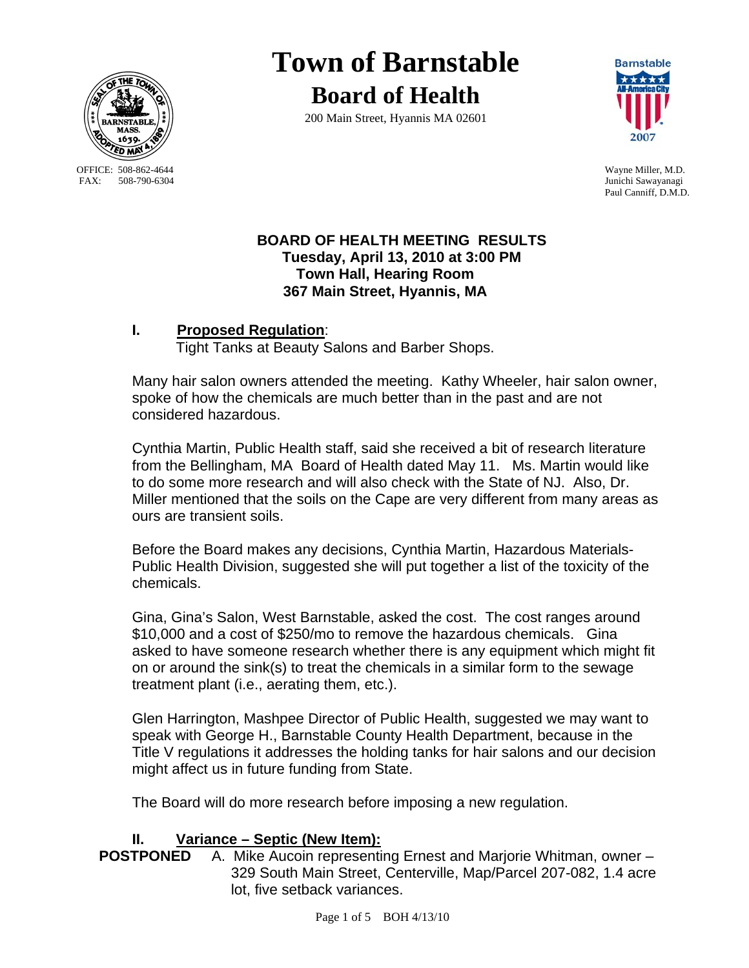

OFFICE: 508-862-4644 Wayne Miller, M.D.<br>
FAX: 508-790-6304 Junichi Sawavanagi

# **Town of Barnstable Board of Health**

200 Main Street, Hyannis MA 02601



Junichi Sawayanagi Paul Canniff, D.M.D.

# **BOARD OF HEALTH MEETING RESULTS Tuesday, April 13, 2010 at 3:00 PM Town Hall, Hearing Room 367 Main Street, Hyannis, MA**

# **I. Proposed Regulation**:

Tight Tanks at Beauty Salons and Barber Shops.

Many hair salon owners attended the meeting. Kathy Wheeler, hair salon owner, spoke of how the chemicals are much better than in the past and are not considered hazardous.

Cynthia Martin, Public Health staff, said she received a bit of research literature from the Bellingham, MA Board of Health dated May 11. Ms. Martin would like to do some more research and will also check with the State of NJ. Also, Dr. Miller mentioned that the soils on the Cape are very different from many areas as ours are transient soils.

Before the Board makes any decisions, Cynthia Martin, Hazardous Materials-Public Health Division, suggested she will put together a list of the toxicity of the chemicals.

Gina, Gina's Salon, West Barnstable, asked the cost. The cost ranges around \$10,000 and a cost of \$250/mo to remove the hazardous chemicals. Gina asked to have someone research whether there is any equipment which might fit on or around the sink(s) to treat the chemicals in a similar form to the sewage treatment plant (i.e., aerating them, etc.).

Glen Harrington, Mashpee Director of Public Health, suggested we may want to speak with George H., Barnstable County Health Department, because in the Title V regulations it addresses the holding tanks for hair salons and our decision might affect us in future funding from State.

The Board will do more research before imposing a new regulation.

**II.** Variance – Septic (New Item):<br>**POSTPONED** A. Mike Aucoin representi A. Mike Aucoin representing Ernest and Marjorie Whitman, owner – 329 South Main Street, Centerville, Map/Parcel 207-082, 1.4 acre lot, five setback variances.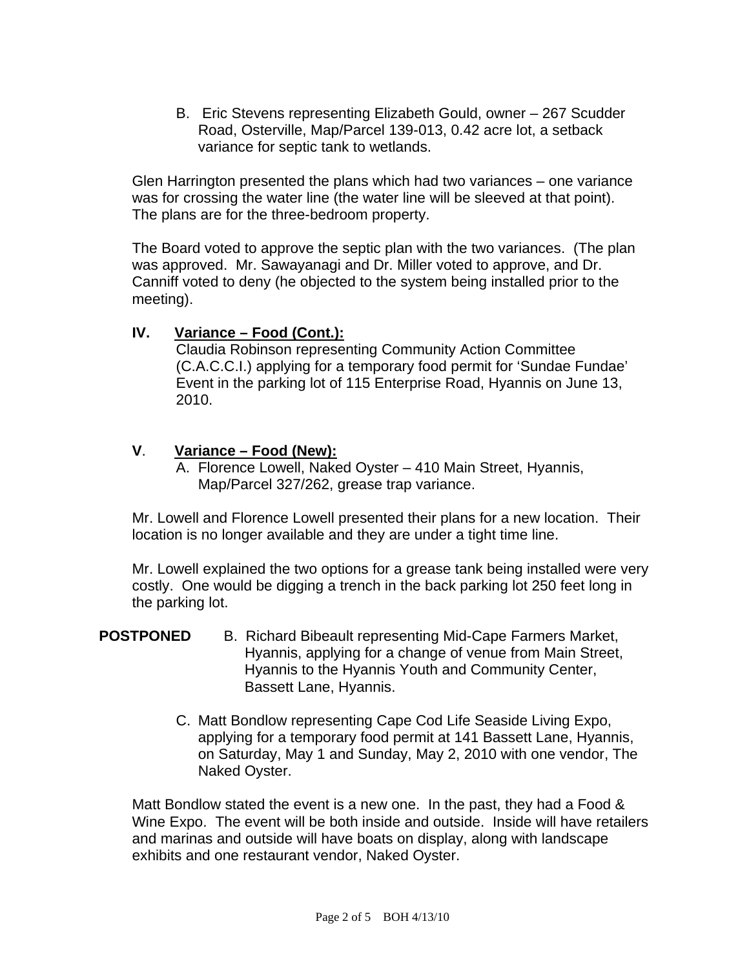B. Eric Stevens representing Elizabeth Gould, owner – 267 Scudder Road, Osterville, Map/Parcel 139-013, 0.42 acre lot, a setback variance for septic tank to wetlands.

Glen Harrington presented the plans which had two variances – one variance was for crossing the water line (the water line will be sleeved at that point). The plans are for the three-bedroom property.

The Board voted to approve the septic plan with the two variances. (The plan was approved. Mr. Sawayanagi and Dr. Miller voted to approve, and Dr. Canniff voted to deny (he objected to the system being installed prior to the meeting).

# **IV. Variance – Food (Cont.):**

Claudia Robinson representing Community Action Committee (C.A.C.C.I.) applying for a temporary food permit for 'Sundae Fundae' Event in the parking lot of 115 Enterprise Road, Hyannis on June 13, 2010.

# **V**. **Variance – Food (New):**

A. Florence Lowell, Naked Oyster – 410 Main Street, Hyannis, Map/Parcel 327/262, grease trap variance.

Mr. Lowell and Florence Lowell presented their plans for a new location. Their location is no longer available and they are under a tight time line.

Mr. Lowell explained the two options for a grease tank being installed were very costly. One would be digging a trench in the back parking lot 250 feet long in the parking lot.

#### **POSTPONED** B.Richard Bibeault representing Mid-Cape Farmers Market, Hyannis, applying for a change of venue from Main Street, Hyannis to the Hyannis Youth and Community Center, Bassett Lane, Hyannis.

C. Matt Bondlow representing Cape Cod Life Seaside Living Expo, applying for a temporary food permit at 141 Bassett Lane, Hyannis, on Saturday, May 1 and Sunday, May 2, 2010 with one vendor, The Naked Oyster.

Matt Bondlow stated the event is a new one. In the past, they had a Food & Wine Expo. The event will be both inside and outside. Inside will have retailers and marinas and outside will have boats on display, along with landscape exhibits and one restaurant vendor, Naked Oyster.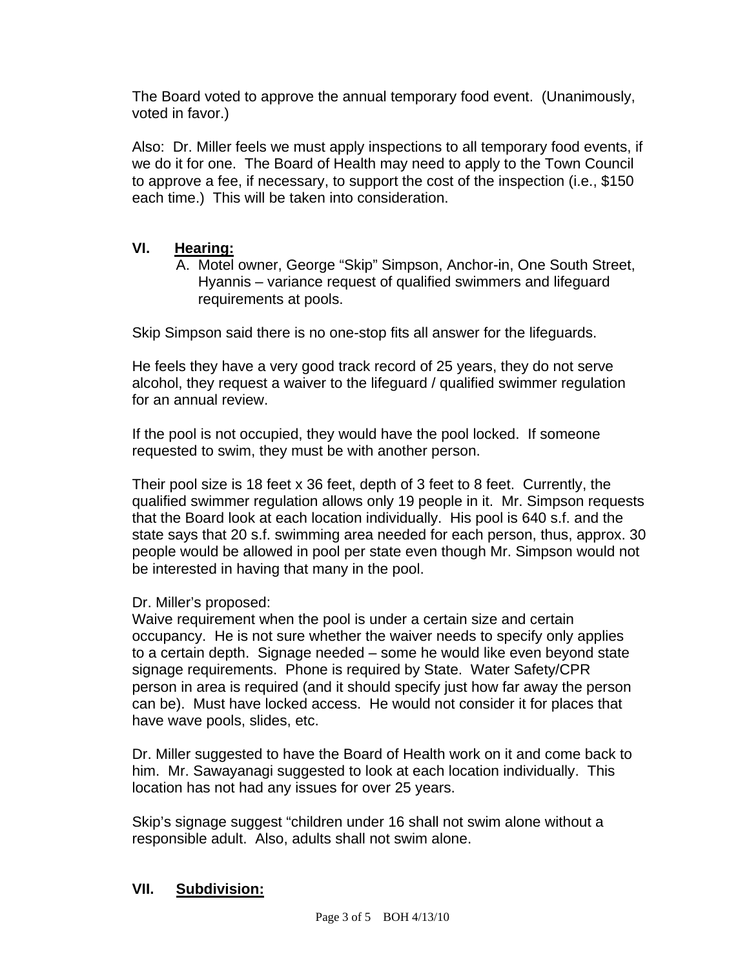The Board voted to approve the annual temporary food event. (Unanimously, voted in favor.)

Also: Dr. Miller feels we must apply inspections to all temporary food events, if we do it for one. The Board of Health may need to apply to the Town Council to approve a fee, if necessary, to support the cost of the inspection (i.e., \$150 each time.) This will be taken into consideration.

# **VI. Hearing:**

A. Motel owner, George "Skip" Simpson, Anchor-in, One South Street, Hyannis – variance request of qualified swimmers and lifeguard requirements at pools.

Skip Simpson said there is no one-stop fits all answer for the lifeguards.

He feels they have a very good track record of 25 years, they do not serve alcohol, they request a waiver to the lifeguard / qualified swimmer regulation for an annual review.

If the pool is not occupied, they would have the pool locked. If someone requested to swim, they must be with another person.

Their pool size is 18 feet x 36 feet, depth of 3 feet to 8 feet. Currently, the qualified swimmer regulation allows only 19 people in it. Mr. Simpson requests that the Board look at each location individually. His pool is 640 s.f. and the state says that 20 s.f. swimming area needed for each person, thus, approx. 30 people would be allowed in pool per state even though Mr. Simpson would not be interested in having that many in the pool.

# Dr. Miller's proposed:

Waive requirement when the pool is under a certain size and certain occupancy. He is not sure whether the waiver needs to specify only applies to a certain depth. Signage needed – some he would like even beyond state signage requirements. Phone is required by State. Water Safety/CPR person in area is required (and it should specify just how far away the person can be). Must have locked access. He would not consider it for places that have wave pools, slides, etc.

Dr. Miller suggested to have the Board of Health work on it and come back to him. Mr. Sawayanagi suggested to look at each location individually. This location has not had any issues for over 25 years.

Skip's signage suggest "children under 16 shall not swim alone without a responsible adult. Also, adults shall not swim alone.

# **VII. Subdivision:**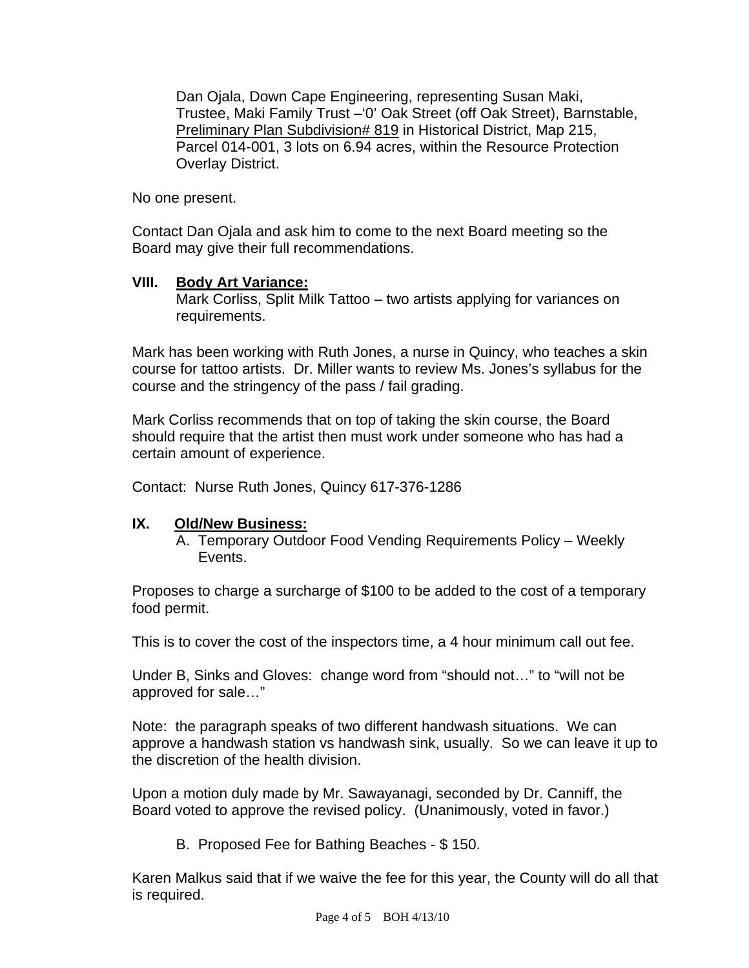Dan Ojala, Down Cape Engineering, representing Susan Maki, Trustee, Maki Family Trust –'0' Oak Street (off Oak Street), Barnstable, Preliminary Plan Subdivision# 819 in Historical District, Map 215, Parcel 014-001, 3 lots on 6.94 acres, within the Resource Protection Overlay District.

No one present.

Contact Dan Ojala and ask him to come to the next Board meeting so the Board may give their full recommendations.

#### **VIII. Body Art Variance:**

Mark Corliss, Split Milk Tattoo – two artists applying for variances on requirements.

Mark has been working with Ruth Jones, a nurse in Quincy, who teaches a skin course for tattoo artists. Dr. Miller wants to review Ms. Jones's syllabus for the course and the stringency of the pass / fail grading.

Mark Corliss recommends that on top of taking the skin course, the Board should require that the artist then must work under someone who has had a certain amount of experience.

Contact: Nurse Ruth Jones, Quincy 617-376-1286

# **IX. Old/New Business:**

A. Temporary Outdoor Food Vending Requirements Policy – Weekly Events.

Proposes to charge a surcharge of \$100 to be added to the cost of a temporary food permit.

This is to cover the cost of the inspectors time, a 4 hour minimum call out fee.

Under B, Sinks and Gloves: change word from "should not…" to "will not be approved for sale…"

Note: the paragraph speaks of two different handwash situations. We can approve a handwash station vs handwash sink, usually. So we can leave it up to the discretion of the health division.

Upon a motion duly made by Mr. Sawayanagi, seconded by Dr. Canniff, the Board voted to approve the revised policy. (Unanimously, voted in favor.)

B. Proposed Fee for Bathing Beaches - \$ 150.

Karen Malkus said that if we waive the fee for this year, the County will do all that is required.